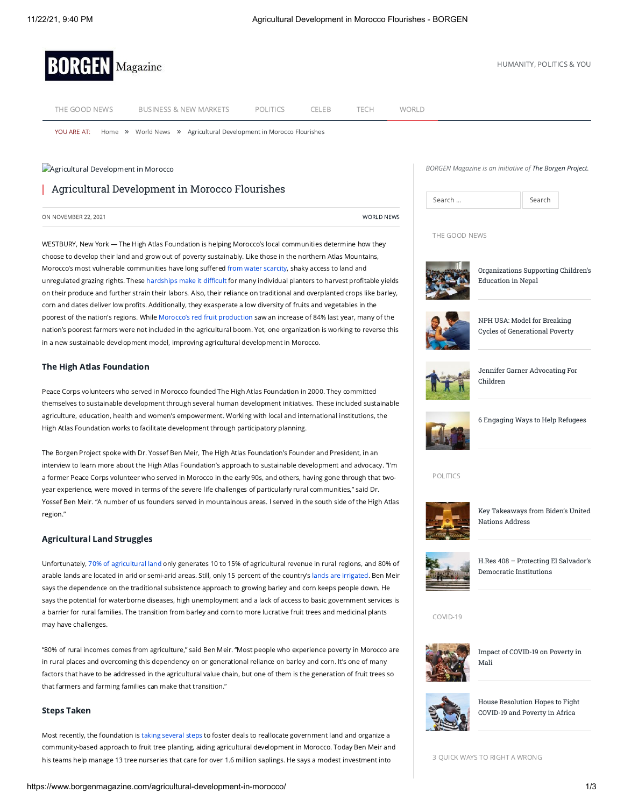

THE [GOOD](https://www.borgenmagazine.com/category/good-news/) NEWS [BUSINESS](https://www.borgenmagazine.com/category/business-and-new-markets/) & NEW MARKETS [POLITICS](https://www.borgenmagazine.com/category/politics/) [CELEB](https://www.borgenmagazine.com/category/spotted/) [TECH](https://www.borgenmagazine.com/category/technology/) [WORLD](https://www.borgenmagazine.com/category/world-news/)

**Agricultural [Development](https://www.borgenmagazine.com/wp-content/uploads/2021/10/Agricultural-Development-in-Morocco.jpg) in Morocco** 

Agricultural Development in Morocco Flourishes

in a new sustainable development model, improving agricultural development in Morocco.

YOU ARE AT: [Home](https://www.borgenmagazine.com/) » [World](https://www.borgenmagazine.com/category/world-news/) News » Agricultural Development in Morocco Flourishes

*BORGEN Magazine is an initiative of [The Borgen Project.](http://borgenproject.org/)*

| Search | Search |
|--------|--------|

THE GOOD NEWS



[Organizations Supporting Children's](https://www.borgenmagazine.com/childrens-education-in-nepal/) Education in Nepal



NPH USA: Model for Breaking [Cycles of Generational Poverty](https://www.borgenmagazine.com/nph-usa/)



[Jennifer Garner Advocating For](https://www.borgenmagazine.com/jennifer-garner-advoacting-for-children/) Children



[6 Engaging Ways to Help Refugees](https://www.borgenmagazine.com/ways-to-help-refugees/)

POLITICS



[Key Takeaways from Biden's United](https://www.borgenmagazine.com/key-takeaways-from-bidens-united-nations-address/) Nations Address



[H.Res 408 – Protecting El Salvador's](https://www.borgenmagazine.com/h-res-408/) Democratic Institutions

COVID-19



[Impact of COVID-19 on Poverty in](https://www.borgenmagazine.com/impact-of-covid-19-on-poverty-in-mali/) Mali



[House Resolution Hopes to Fight](https://www.borgenmagazine.com/covid-19-and-poverty-in-africa/) COVID-19 and Poverty in Africa

3 QUICK WAYS TO RIGHT A WRONG

The High Atlas Foundation

Peace Corps volunteers who served in Morocco founded The High Atlas Foundation in 2000. They committed themselves to sustainable development through several human development initiatives. These included sustainable agriculture, education, health and women's empowerment. Working with local and international institutions, the High Atlas Foundation works to facilitate development through participatory planning.

ON NOVEMBER 22, 2021 [WORLD](https://www.borgenmagazine.com/category/world-news/) NEWS

WESTBURY, New York — The High Atlas Foundation is helping Morocco's local communities determine how they choose to develop their land and grow out of poverty sustainably. Like those in the northern Atlas Mountains, Morocco's most vulnerable communities have long suffered from water [scarcity,](https://www.mdpi.com/2071-1050/10/10/3719/htm) shaky access to land and unregulated grazing rights. These [hardships](https://www.reuters.com/article/us-morocco-inequality/moroccos-poor-left-behind-by-development-boom-idUSKBN1Y60YU) make it difficult for many individual planters to harvest profitable yields on their produce and further strain their labors. Also, their reliance on traditional and overplanted crops like barley, corn and dates deliver low profits. Additionally, they exasperate a low diversity of fruits and vegetables in the poorest of the nation's regions. While Morocco's red fruit [production](https://thearabweekly.com/moroccos-red-fruit-conquer-foreign-markets?__cf_chl_jschl_tk__=_fj3cFBdpLnvCpfbM3CzG9NHi0AyklygNw5jv_FQ17w-1635961957-0-gaNycGzNB30) saw an increase of 84% last year, many of the nation's poorest farmers were not included in the agricultural boom. Yet, one organization is working to reverse this

The Borgen Project spoke with Dr. Yossef Ben Meir, The High Atlas Foundation's Founder and President, in an interview to learn more about the High Atlas Foundation's approach to sustainable development and advocacy. "I'm a former Peace Corps volunteer who served in Morocco in the early 90s, and others, having gone through that twoyear experience, were moved in terms of the severe life challenges of particularly rural communities," said Dr. Yossef Ben Meir. "A number of us founders served in mountainous areas. I served in the south side of the High Atlas region."

## Agricultural Land Struggles

Unfortunately, 70% of [agricultural](https://www.jpost.com/opinion/morocco-catalyzing-human-development-through-cultural-preservation-382200) land only generates 10 to 15% of agricultural revenue in rural regions, and 80% of arable lands are located in arid or semi-arid areas. Still, only 15 percent of the country's lands are [irrigated.](https://www.yieldgap.org/morocco) Ben Meir says the dependence on the traditional subsistence approach to growing barley and corn keeps people down. He says the potential for waterborne diseases, high unemployment and a lack of access to basic government services is a barrier for rural families. The transition from barley and corn to more lucrative fruit trees and medicinal plants may have challenges.

"80% of rural incomes comes from agriculture," said Ben Meir. "Most people who experience poverty in Morocco are in rural places and overcoming this dependency on or generational reliance on barley and corn. It's one of many factors that have to be addressed in the agricultural value chain, but one of them is the generation of fruit trees so that farmers and farming families can make that transition."

### Steps Taken

Most recently, the foundation is taking [several](https://highatlasfoundation.org/project/organic-agriculture/) steps to foster deals to reallocate government land and organize a community-based approach to fruit tree planting, aiding agricultural development in Morocco. Today Ben Meir and his teams help manage 13 tree nurseries that care for over 1.6 million saplings. He says a modest investment into